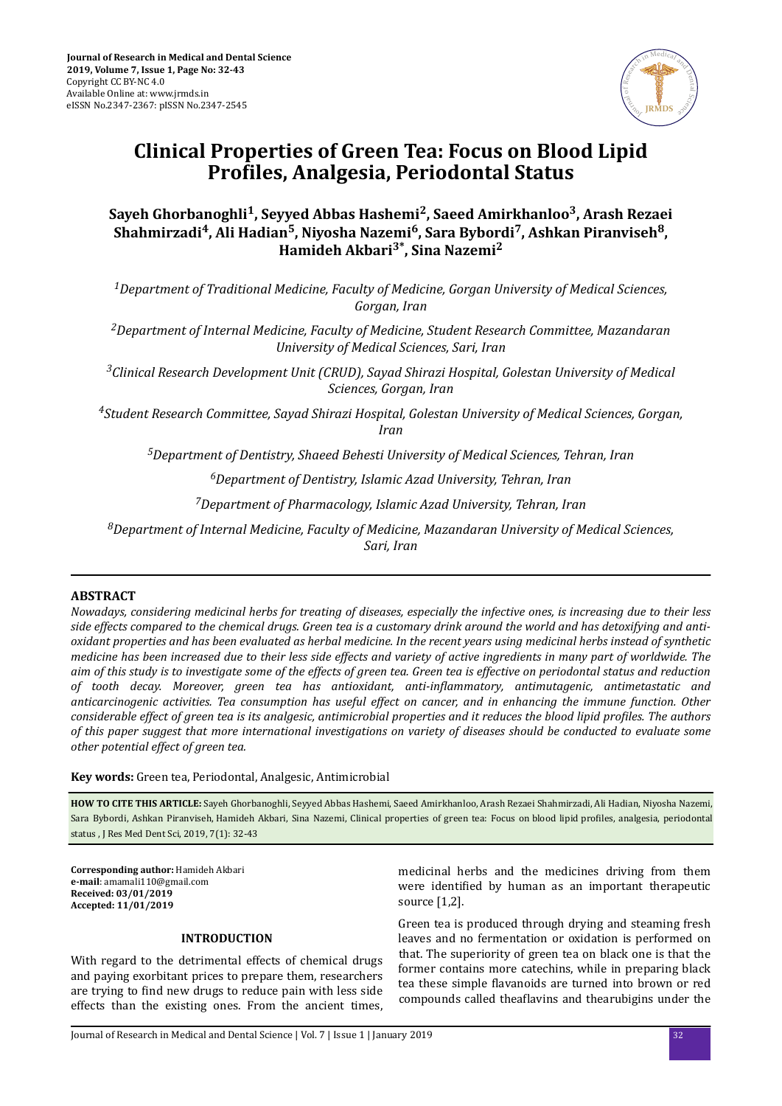

# **Clinical Properties of Green Tea: Focus on Blood Lipid Profiles, Analgesia, Periodontal Status**

# **Sayeh Ghorbanoghli<sup>1</sup> , Seyyed Abbas Hashemi<sup>2</sup> , Saeed Amirkhanloo<sup>3</sup> , Arash Rezaei Shahmirzadi<sup>4</sup> , Ali Hadian<sup>5</sup> , Niyosha Nazemi<sup>6</sup> , Sara Bybordi<sup>7</sup> , Ashkan Piranviseh<sup>8</sup> , Hamideh Akbari3\*, Sina Nazemi<sup>2</sup>**

*<sup>1</sup>Department of Traditional Medicine, Faculty of Medicine, Gorgan University of Medical Sciences, Gorgan, Iran*

*<sup>2</sup>Department of Internal Medicine, Faculty of Medicine, Student Research Committee, Mazandaran University of Medical Sciences, Sari, Iran*

*<sup>3</sup>Clinical Research Development Unit (CRUD), Sayad Shirazi Hospital, Golestan University of Medical Sciences, Gorgan, Iran*

*<sup>4</sup>Student Research Committee, Sayad Shirazi Hospital, Golestan University of Medical Sciences, Gorgan, Iran*

*<sup>5</sup>Department of Dentistry, Shaeed Behesti University of Medical Sciences, Tehran, Iran*

*<sup>6</sup>Department of Dentistry, Islamic Azad University, Tehran, Iran*

*<sup>7</sup>Department of Pharmacology, Islamic Azad University, Tehran, Iran*

*<sup>8</sup>Department of Internal Medicine, Faculty of Medicine, Mazandaran University of Medical Sciences, Sari, Iran*

# **ABSTRACT**

*Nowadays, considering medicinal herbs for treating of diseases, especially the infective ones, is increasing due to their less side effects compared to the chemical drugs. Green tea is a customary drink around the world and has detoxifying and antioxidant properties and has been evaluated as herbal medicine. In the recent years using medicinal herbs instead of synthetic medicine has been increased due to their less side effects and variety of active ingredients in many part of worldwide. The aim of this study is to investigate some of the effects of green tea. Green tea is effective on periodontal status and reduction of tooth decay. Moreover, green tea has antioxidant, ntǦnϔlmmtorǡ antimutagenic, antimetastatic and anticarcinogenic activities. Tea consumption has useful effect on cancer, and in enhancing the immune function. Other considerable effect of green tea is its analgesic, antimicrobial properties and it reduces the blood lipid profiles. The authors of this paper suggest that more international investigations on variety of diseases should be conducted to evaluate some other potential effect of green tea.*

**Key words:** Green tea, Periodontal, Analgesic, Antimicrobial

**HOW TO CITE THIS ARTICLE:** Sayeh Ghorbanoghli, Seyyed Abbas Hashemi, Saeed Amirkhanloo, Arash Rezaei Shahmirzadi, Ali Hadian, Niyosha Nazemi, Sara Bybordi, Ashkan Piranviseh, Hamideh Akbari, Sina Nazemi, Clinical properties of green tea: Focus on blood lipid profiles, analgesia, periodontal status , J Res Med Dent Sci, 2019, 7(1): 32-43

**Corresponding author:** Hamideh Akbari **e-mail**: amamali110@gmail.com **Received: 03/01/2019 Accepted: 11/01/2019**

# **INTRODUCTION**

With regard to the detrimental effects of chemical drugs and paying exorbitant prices to prepare them, researchers are trying to find new drugs to reduce pain with less side effects than the existing ones. From the ancient times, medicinal herbs and the medicines driving from them were identified by human as an important therapeutic source [1,2].

Green tea is produced through drying and steaming fresh leaves and no fermentation or oxidation is performed on that. The superiority of green tea on black one is that the former contains more catechins, while in preparing black tea these simple flavanoids are turned into brown or red compounds called theaflavins and thearubigins under the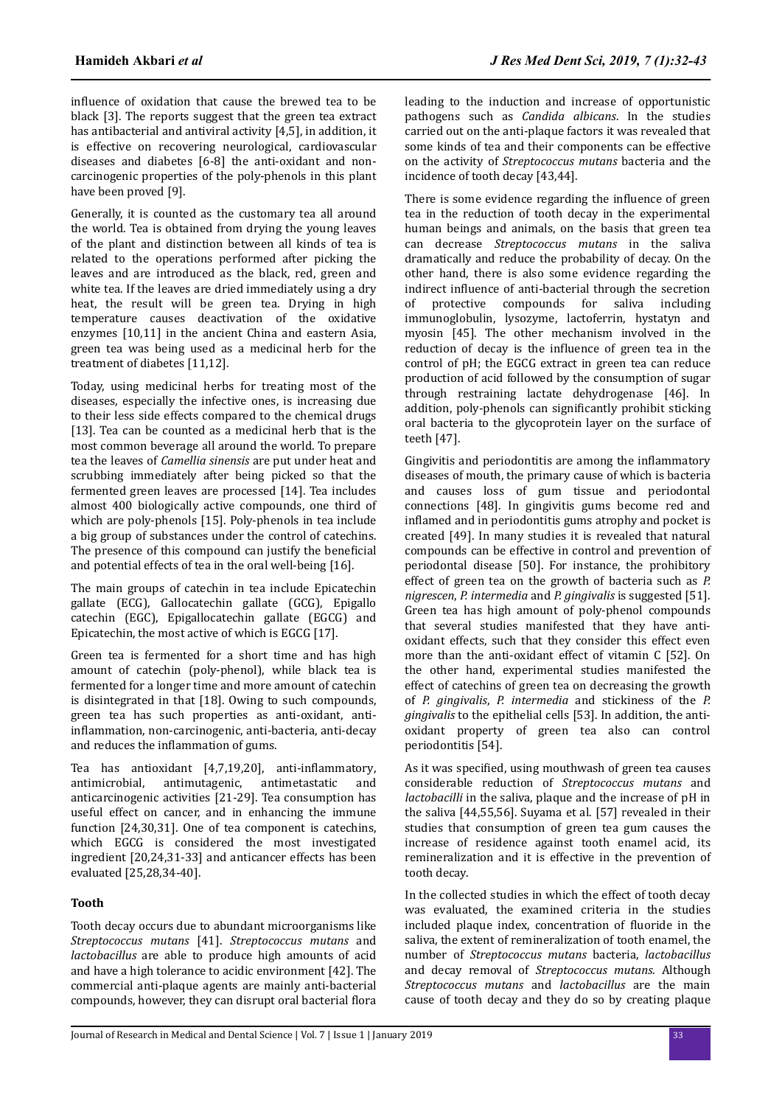influence of oxidation that cause the brewed tea to be black [3]. The reports suggest that the green tea extract has antibacterial and antiviral activity [4,5], in addition, it is effective on recovering neurological, cardiovascular diseases and diabetes [6-8] the anti-oxidant and noncarcinogenic properties of the poly-phenols in this plant have been proved [9].

Generally, it is counted as the customary tea all around the world. Tea is obtained from drying the young leaves of the plant and distinction between all kinds of tea is related to the operations performed after picking the leaves and are introduced as the black, red, green and white tea. If the leaves are dried immediately using a dry heat, the result will be green tea. Drying in high temperature causes deactivation of the oxidative enzymes [10,11] in the ancient China and eastern Asia, green tea was being used as a medicinal herb for the treatment of diabetes [11,12].

Today, using medicinal herbs for treating most of the diseases, especially the infective ones, is increasing due to their less side effects compared to the chemical drugs [13]. Tea can be counted as a medicinal herb that is the most common beverage all around the world. To prepare tea the leaves of *Camellia sinensis* are put under heat and scrubbing immediately after being picked so that the fermented green leaves are processed [14]. Tea includes almost 400 biologically active compounds, one third of which are poly-phenols [15]. Poly-phenols in tea include a big group of substances under the control of catechins. The presence of this compound can justify the beneficial and potential effects of tea in the oral well-being [16].

The main groups of catechin in tea include Epicatechin gallate (ECG), Gallocatechin gallate (GCG), Epigallo catechin (EGC), Epigallocatechin gallate (EGCG) and Epicatechin, the most active of which is EGCG [17].

Green tea is fermented for a short time and has high amount of catechin (poly-phenol), while black tea is fermented for a longer time and more amount of catechin is disintegrated in that [18]. Owing to such compounds, green tea has such properties as anti-oxidant, antiinflammation, non-carcinogenic, anti-bacteria, anti-decay and reduces the inflammation of gums.

Tea has antioxidant  $[4,7,19,20]$ , anti-inflammatory, antimicrobial, antimutagenic, antimetastatic and anticarcinogenic activities [21-29]. Tea consumption has useful effect on cancer, and in enhancing the immune function [24,30,31]. One of tea component is catechins, which EGCG is considered the most investigated ingredient [20,24,31-33] and anticancer effects has been evaluated [25,28,34-40].

# **Tooth**

Tooth decay occurs due to abundant microorganisms like *Streptococcus mutans* [41]. *Streptococcus mutans* and *lactobacillus* are able to produce high amounts of acid and have a high tolerance to acidic environment [42]. The commercial anti-plaque agents are mainly anti-bacterial compounds, however, they can disrupt oral bacterial flora leading to the induction and increase of opportunistic pathogens such as *Candida albicans*. In the studies carried out on the anti-plaque factors it was revealed that some kinds of tea and their components can be effective on the activity of *Streptococcus mutans* bacteria and the incidence of tooth decay [43,44].

There is some evidence regarding the influence of green tea in the reduction of tooth decay in the experimental human beings and animals, on the basis that green tea can decrease *Streptococcus mutans* in the saliva dramatically and reduce the probability of decay. On the other hand, there is also some evidence regarding the indirect influence of anti-bacterial through the secretion of protective compounds for saliva including immunoglobulin, lysozyme, lactoferrin, hystatyn and myosin [45]. The other mechanism involved in the reduction of decay is the influence of green tea in the control of pH; the EGCG extract in green tea can reduce production of acid followed by the consumption of sugar through restraining lactate dehydrogenase [46]. In addition, poly-phenols can significantly prohibit sticking oral bacteria to the glycoprotein layer on the surface of teeth [47].

Gingivitis and periodontitis are among the inflammatory diseases of mouth, the primary cause of which is bacteria and causes loss of gum tissue and periodontal connections [48]. In gingivitis gums become red and inflamed and in periodontitis gums atrophy and pocket is created [49]. In many studies it is revealed that natural compounds can be effective in control and prevention of periodontal disease [50]. For instance, the prohibitory effect of green tea on the growth of bacteria such as *P. nigrescen*, *P. intermedia* and *P. gingivalis* is suggested [51]. Green tea has high amount of poly-phenol compounds that several studies manifested that they have antioxidant effects, such that they consider this effect even more than the anti-oxidant effect of vitamin C [52]. On the other hand, experimental studies manifested the effect of catechins of green tea on decreasing the growth of *P. gingivalis*, *P. intermedia* and stickiness of the *P. gingivalis* to the epithelial cells [53]. In addition, the antioxidant property of green tea also can control periodontitis [54].

As it was specified, using mouthwash of green tea causes considerable reduction of *Streptococcus mutans* and *lactobacilli* in the saliva, plaque and the increase of pH in the saliva [44,55,56]. Suyama et al. [57] revealed in their studies that consumption of green tea gum causes the increase of residence against tooth enamel acid, its remineralization and it is effective in the prevention of tooth decay.

In the collected studies in which the effect of tooth decay was evaluated, the examined criteria in the studies included plaque index, concentration of fluoride in the saliva, the extent of remineralization of tooth enamel, the number of *Streptococcus mutans* bacteria, *lactobacillus* and decay removal of *Streptococcus mutans*. Although *Streptococcus mutans* and *lactobacillus* are the main cause of tooth decay and they do so by creating plaque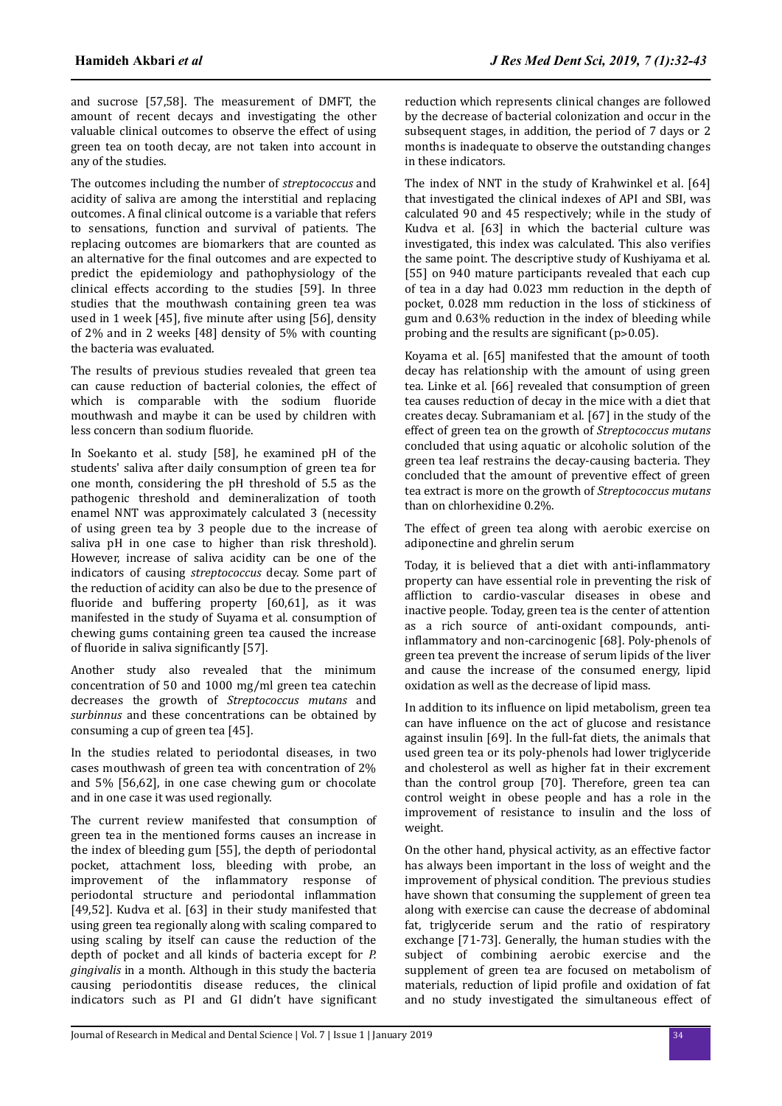and sucrose [57,58]. The measurement of DMFT, the amount of recent decays and investigating the other valuable clinical outcomes to observe the effect of using green tea on tooth decay, are not taken into account in any of the studies.

The outcomes including the number of *streptococcus* and acidity of saliva are among the interstitial and replacing outcomes. A final clinical outcome is a variable that refers to sensations, function and survival of patients. The replacing outcomes are biomarkers that are counted as an alternative for the final outcomes and are expected to predict the epidemiology and pathophysiology of the clinical effects according to the studies [59]. In three studies that the mouthwash containing green tea was used in 1 week [45], five minute after using [56], density of 2% and in 2 weeks [48] density of 5% with counting the bacteria was evaluated.

The results of previous studies revealed that green tea can cause reduction of bacterial colonies, the effect of which is comparable with the sodium fluoride mouthwash and maybe it can be used by children with less concern than sodium fluoride.

In Soekanto et al. study [58], he examined pH of the students' saliva after daily consumption of green tea for one month, considering the pH threshold of 5.5 as the pathogenic threshold and demineralization of tooth enamel NNT was approximately calculated 3 (necessity of using green tea by 3 people due to the increase of saliva pH in one case to higher than risk threshold). However, increase of saliva acidity can be one of the indicators of causing *streptococcus* decay. Some part of the reduction of acidity can also be due to the presence of fluoride and buffering property  $[60,61]$ , as it was manifested in the study of Suyama et al. consumption of chewing gums containing green tea caused the increase of fluoride in saliva significantly [57].

Another study also revealed that the minimum concentration of 50 and 1000 mg/ml green tea catechin decreases the growth of *Streptococcus mutans* and *surbinnus* and these concentrations can be obtained by consuming a cup of green tea [45].

In the studies related to periodontal diseases, in two cases mouthwash of green tea with concentration of 2% and 5% [56,62], in one case chewing gum or chocolate and in one case it was used regionally.

The current review manifested that consumption of green tea in the mentioned forms causes an increase in the index of bleeding gum [55], the depth of periodontal pocket, attachment loss, bleeding with probe, an improvement of the inflammatory response of periodontal structure and periodontal inflammation [49,52]. Kudva et al. [63] in their study manifested that using green tea regionally along with scaling compared to using scaling by itself can cause the reduction of the depth of pocket and all kinds of bacteria except for *P. gingivalis* in a month. Although in this study the bacteria causing periodontitis disease reduces, the clinical indicators such as PI and GI didn't have significant

reduction which represents clinical changes are followed by the decrease of bacterial colonization and occur in the subsequent stages, in addition, the period of 7 days or 2 months is inadequate to observe the outstanding changes in these indicators.

The index of NNT in the study of Krahwinkel et al. [64] that investigated the clinical indexes of API and SBI, was calculated 90 and 45 respectively; while in the study of Kudva et al. [63] in which the bacterial culture was investigated, this index was calculated. This also verifies the same point. The descriptive study of Kushiyama et al. [55] on 940 mature participants revealed that each cup of tea in a day had 0.023 mm reduction in the depth of pocket, 0.028 mm reduction in the loss of stickiness of gum and 0.63% reduction in the index of bleeding while probing and the results are significant  $(p>0.05)$ .

Koyama et al. [65] manifested that the amount of tooth decay has relationship with the amount of using green tea. Linke et al. [66] revealed that consumption of green tea causes reduction of decay in the mice with a diet that creates decay. Subramaniam et al. [67] in the study of the effect of green tea on the growth of *Streptococcus mutans* concluded that using aquatic or alcoholic solution of the green tea leaf restrains the decay-causing bacteria. They concluded that the amount of preventive effect of green tea extract is more on the growth of *Streptococcus mutans* than on chlorhexidine 0.2%.

The effect of green tea along with aerobic exercise on adiponectine and ghrelin serum

Today, it is believed that a diet with anti-inflammatory property can have essential role in preventing the risk of affliction to cardio-vascular diseases in obese and inactive people. Today, green tea is the center of attention as a rich source of anti-oxidant compounds, antiinflammatory and non-carcinogenic [68]. Poly-phenols of green tea prevent the increase of serum lipids of the liver and cause the increase of the consumed energy, lipid oxidation as well as the decrease of lipid mass.

In addition to its influence on lipid metabolism, green tea can have influence on the act of glucose and resistance against insulin [69]. In the full-fat diets, the animals that used green tea or its poly-phenols had lower triglyceride and cholesterol as well as higher fat in their excrement than the control group [70]. Therefore, green tea can control weight in obese people and has a role in the improvement of resistance to insulin and the loss of weight.

On the other hand, physical activity, as an effective factor has always been important in the loss of weight and the improvement of physical condition. The previous studies have shown that consuming the supplement of green tea along with exercise can cause the decrease of abdominal fat, triglyceride serum and the ratio of respiratory exchange [71-73]. Generally, the human studies with the subject of combining aerobic exercise and the supplement of green tea are focused on metabolism of materials, reduction of lipid profile and oxidation of fat and no study investigated the simultaneous effect of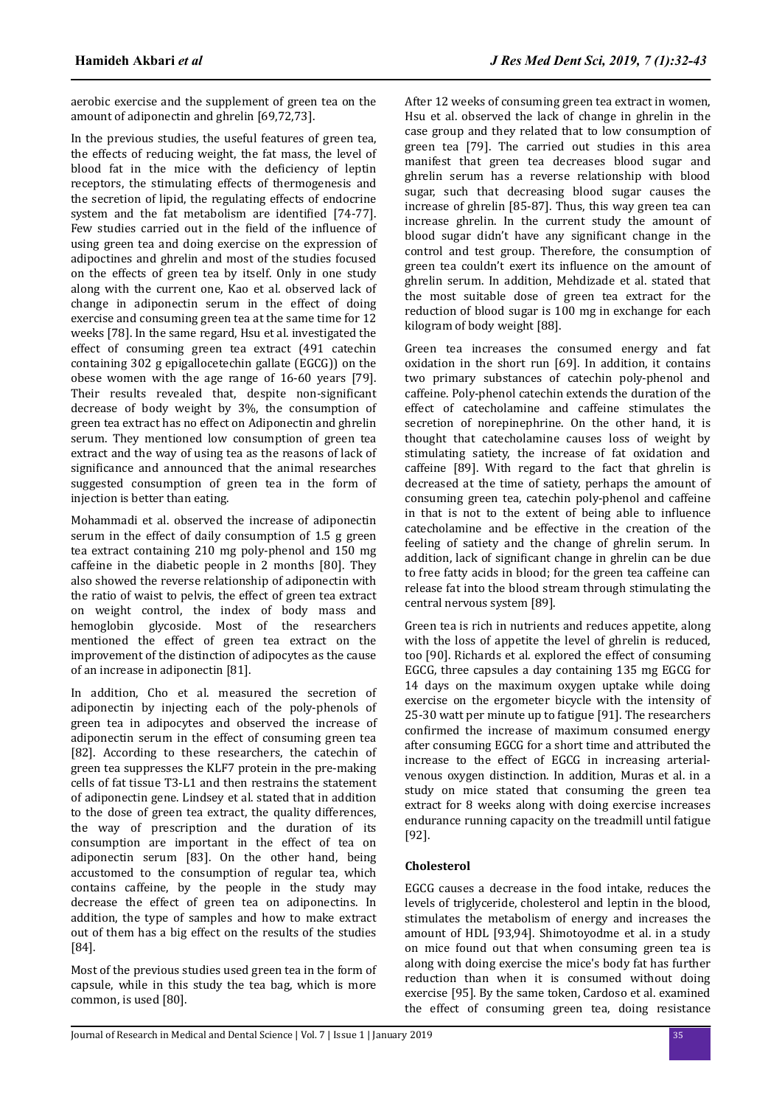aerobic exercise and the supplement of green tea on the amount of adiponectin and ghrelin [69,72,73].

In the previous studies, the useful features of green tea, the effects of reducing weight, the fat mass, the level of blood fat in the mice with the deficiency of leptin receptors, the stimulating effects of thermogenesis and the secretion of lipid, the regulating effects of endocrine system and the fat metabolism are identified [74-77]. Few studies carried out in the field of the influence of using green tea and doing exercise on the expression of adipoctines and ghrelin and most of the studies focused on the effects of green tea by itself. Only in one study along with the current one, Kao et al. observed lack of change in adiponectin serum in the effect of doing exercise and consuming green tea at the same time for 12 weeks [78]. In the same regard, Hsu et al. investigated the effect of consuming green tea extract (491 catechin containing 302 g epigallocetechin gallate (EGCG)) on the obese women with the age range of 16-60 years [79]. Their results revealed that, despite non-significant decrease of body weight by 3%, the consumption of green tea extract has no effect on Adiponectin and ghrelin serum. They mentioned low consumption of green tea extract and the way of using tea as the reasons of lack of significance and announced that the animal researches suggested consumption of green tea in the form of injection is better than eating.

Mohammadi et al. observed the increase of adiponectin serum in the effect of daily consumption of 1.5 g green tea extract containing 210 mg poly-phenol and 150 mg caffeine in the diabetic people in 2 months [80]. They also showed the reverse relationship of adiponectin with the ratio of waist to pelvis, the effect of green tea extract on weight control, the index of body mass and hemoglobin glycoside. Most of the researchers mentioned the effect of green tea extract on the improvement of the distinction of adipocytes as the cause of an increase in adiponectin [81].

In addition, Cho et al. measured the secretion of adiponectin by injecting each of the poly-phenols of green tea in adipocytes and observed the increase of adiponectin serum in the effect of consuming green tea [82]. According to these researchers, the catechin of green tea suppresses the KLF7 protein in the pre-making cells of fat tissue T3-L1 and then restrains the statement of adiponectin gene. Lindsey et al. stated that in addition to the dose of green tea extract, the quality differences, the way of prescription and the duration of its consumption are important in the effect of tea on adiponectin serum [83]. On the other hand, being accustomed to the consumption of regular tea, which contains caffeine, by the people in the study may decrease the effect of green tea on adiponectins. In addition, the type of samples and how to make extract out of them has a big effect on the results of the studies [84].

Most of the previous studies used green tea in the form of capsule, while in this study the tea bag, which is more common, is used [80].

After 12 weeks of consuming green tea extract in women, Hsu et al. observed the lack of change in ghrelin in the case group and they related that to low consumption of green tea [79]. The carried out studies in this area manifest that green tea decreases blood sugar and ghrelin serum has a reverse relationship with blood sugar, such that decreasing blood sugar causes the increase of ghrelin [85-87]. Thus, this way green tea can increase ghrelin. In the current study the amount of blood sugar didn't have any significant change in the control and test group. Therefore, the consumption of green tea couldn't exert its influence on the amount of ghrelin serum. In addition, Mehdizade et al. stated that the most suitable dose of green tea extract for the reduction of blood sugar is 100 mg in exchange for each kilogram of body weight [88].

Green tea increases the consumed energy and fat oxidation in the short run [69]. In addition, it contains two primary substances of catechin poly-phenol and caffeine. Poly-phenol catechin extends the duration of the effect of catecholamine and caffeine stimulates the secretion of norepinephrine. On the other hand, it is thought that catecholamine causes loss of weight by stimulating satiety, the increase of fat oxidation and caffeine [89]. With regard to the fact that ghrelin is decreased at the time of satiety, perhaps the amount of consuming green tea, catechin poly-phenol and caffeine in that is not to the extent of being able to influence catecholamine and be effective in the creation of the feeling of satiety and the change of ghrelin serum. In addition, lack of significant change in ghrelin can be due to free fatty acids in blood; for the green tea caffeine can release fat into the blood stream through stimulating the central nervous system [89].

Green tea is rich in nutrients and reduces appetite, along with the loss of appetite the level of ghrelin is reduced, too [90]. Richards et al. explored the effect of consuming EGCG, three capsules a day containing 135 mg EGCG for 14 days on the maximum oxygen uptake while doing exercise on the ergometer bicycle with the intensity of 25-30 watt per minute up to fatigue [91]. The researchers confirmed the increase of maximum consumed energy after consuming EGCG for a short time and attributed the increase to the effect of EGCG in increasing arterialvenous oxygen distinction. In addition, Muras et al. in a study on mice stated that consuming the green tea extract for 8 weeks along with doing exercise increases endurance running capacity on the treadmill until fatigue [92].

# **Cholesterol**

EGCG causes a decrease in the food intake, reduces the levels of triglyceride, cholesterol and leptin in the blood, stimulates the metabolism of energy and increases the amount of HDL [93,94]. Shimotoyodme et al. in a study on mice found out that when consuming green tea is along with doing exercise the mice's body fat has further reduction than when it is consumed without doing exercise [95]. By the same token, Cardoso et al. examined the effect of consuming green tea, doing resistance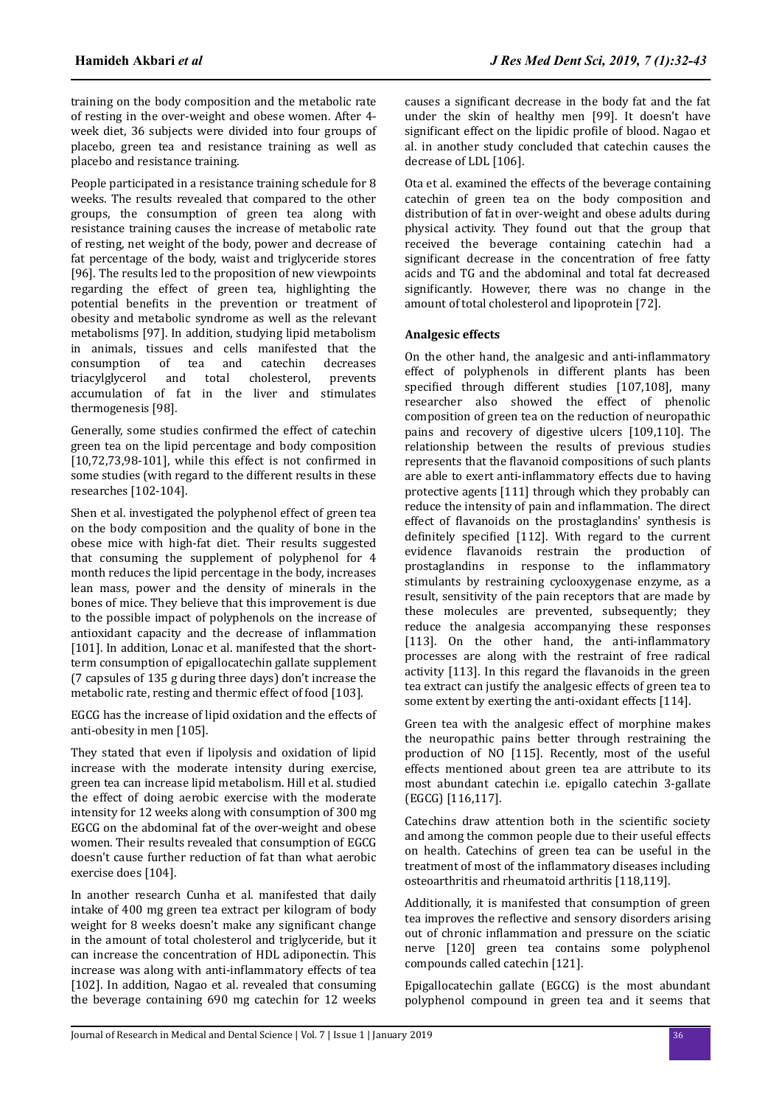training on the body composition and the metabolic rate of resting in the over-weight and obese women. After 4 week diet, 36 subjects were divided into four groups of placebo, green tea and resistance training as well as placebo and resistance training.

People participated in a resistance training schedule for 8 weeks. The results revealed that compared to the other groups, the consumption of green tea along with resistance training causes the increase of metabolic rate of resting, net weight of the body, power and decrease of fat percentage of the body, waist and triglyceride stores [96]. The results led to the proposition of new viewpoints regarding the effect of green tea, highlighting the potential benefits in the prevention or treatment of obesity and metabolic syndrome as well as the relevant metabolisms [97]. In addition, studying lipid metabolism in animals, tissues and cells manifested that the consumption of tea and catechin decreases triacylglycerol and total cholesterol, prevents accumulation of fat in the liver and stimulates thermogenesis [98].

Generally, some studies confirmed the effect of catechin green tea on the lipid percentage and body composition  $[10,72,73,98-101]$ , while this effect is not confirmed in some studies (with regard to the different results in these researches [102-104].

Shen et al. investigated the polyphenol effect of green tea on the body composition and the quality of bone in the obese mice with high-fat diet. Their results suggested that consuming the supplement of polyphenol for 4 month reduces the lipid percentage in the body, increases lean mass, power and the density of minerals in the bones of mice. They believe that this improvement is due to the possible impact of polyphenols on the increase of antioxidant capacity and the decrease of inflammation [101]. In addition, Lonac et al. manifested that the shortterm consumption of epigallocatechin gallate supplement (7 capsules of 135 g during three days) don't increase the metabolic rate, resting and thermic effect of food [103].

EGCG has the increase of lipid oxidation and the effects of anti-obesity in men [105].

They stated that even if lipolysis and oxidation of lipid increase with the moderate intensity during exercise, green tea can increase lipid metabolism. Hill et al. studied the effect of doing aerobic exercise with the moderate intensity for 12 weeks along with consumption of 300 mg EGCG on the abdominal fat of the over-weight and obese women. Their results revealed that consumption of EGCG doesn't cause further reduction of fat than what aerobic exercise does [104].

In another research Cunha et al. manifested that daily intake of 400 mg green tea extract per kilogram of body weight for 8 weeks doesn't make any significant change in the amount of total cholesterol and triglyceride, but it can increase the concentration of HDL adiponectin. This increase was along with anti-inflammatory effects of tea [102]. In addition, Nagao et al. revealed that consuming the beverage containing 690 mg catechin for 12 weeks causes a significant decrease in the body fat and the fat under the skin of healthy men [99]. It doesn't have significant effect on the lipidic profile of blood. Nagao et al. in another study concluded that catechin causes the decrease of LDL [106].

Ota et al. examined the effects of the beverage containing catechin of green tea on the body composition and distribution of fat in over-weight and obese adults during physical activity. They found out that the group that received the beverage containing catechin had a significant decrease in the concentration of free fatty acids and TG and the abdominal and total fat decreased significantly. However, there was no change in the amount of total cholesterol and lipoprotein [72].

#### **Analgesic effects**

On the other hand, the analgesic and anti-inflammatory effect of polyphenols in different plants has been specified through different studies [107,108], many researcher also showed the effect of phenolic composition of green tea on the reduction of neuropathic pains and recovery of digestive ulcers [109,110]. The relationship between the results of previous studies represents that the flavanoid compositions of such plants are able to exert anti-inflammatory effects due to having protective agents [111] through which they probably can reduce the intensity of pain and inflammation. The direct effect of flavanoids on the prostaglandins' synthesis is definitely specified [112]. With regard to the current evidence flavanoids restrain the production of prostaglandins in response to the inflammatory stimulants by restraining cyclooxygenase enzyme, as a result, sensitivity of the pain receptors that are made by these molecules are prevented, subsequently; they reduce the analgesia accompanying these responses [113]. On the other hand, the anti-inflammatory processes are along with the restraint of free radical activity [113]. In this regard the flavanoids in the green tea extract can justify the analgesic effects of green tea to some extent by exerting the anti-oxidant effects [114].

Green tea with the analgesic effect of morphine makes the neuropathic pains better through restraining the production of NO [115]. Recently, most of the useful effects mentioned about green tea are attribute to its most abundant catechin i.e. epigallo catechin 3-gallate (EGCG) [116,117].

Catechins draw attention both in the scientific society and among the common people due to their useful effects on health. Catechins of green tea can be useful in the treatment of most of the inflammatory diseases including osteoarthritis and rheumatoid arthritis [118,119].

Additionally, it is manifested that consumption of green tea improves the reflective and sensory disorders arising out of chronic inflammation and pressure on the sciatic nerve [120] green tea contains some polyphenol compounds called catechin [121].

Epigallocatechin gallate (EGCG) is the most abundant polyphenol compound in green tea and it seems that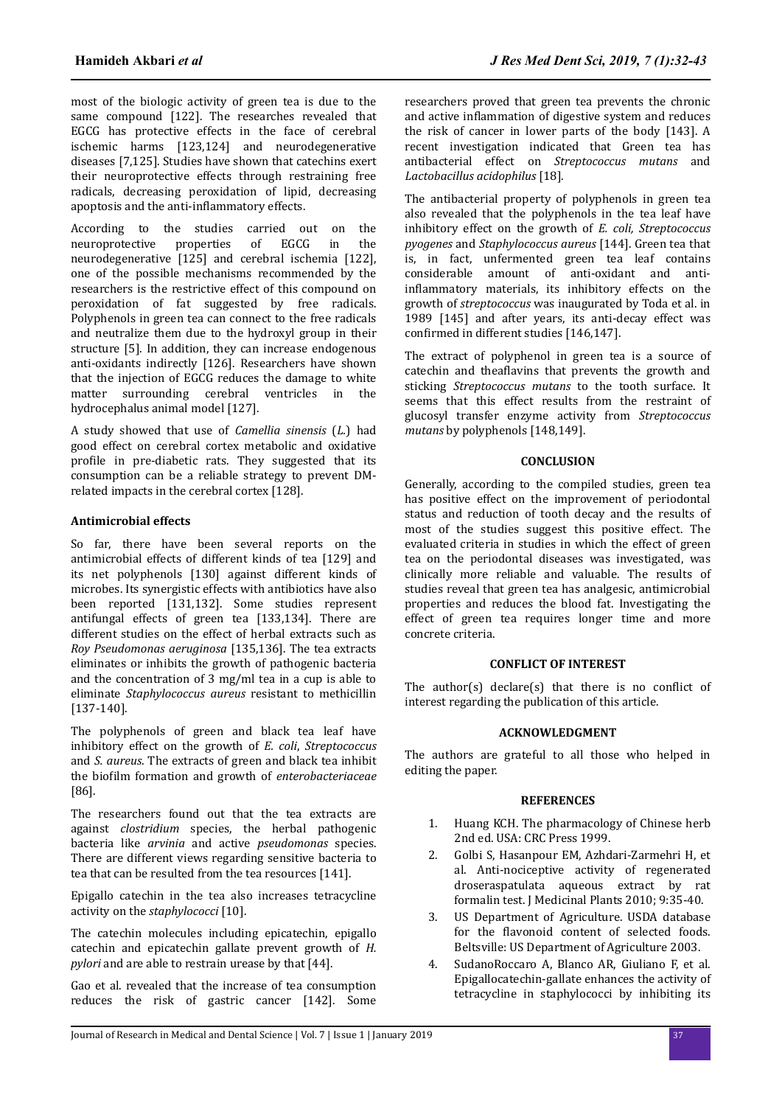most of the biologic activity of green tea is due to the same compound [122]. The researches revealed that EGCG has protective effects in the face of cerebral ischemic harms [123,124] and neurodegenerative diseases [7,125]. Studies have shown that catechins exert their neuroprotective effects through restraining free radicals, decreasing peroxidation of lipid, decreasing apoptosis and the anti-inflammatory effects.

According to the studies carried out on the neuroprotective properties of EGCG in the neurodegenerative [125] and cerebral ischemia [122], one of the possible mechanisms recommended by the researchers is the restrictive effect of this compound on peroxidation of fat suggested by free radicals. Polyphenols in green tea can connect to the free radicals and neutralize them due to the hydroxyl group in their structure [5]. In addition, they can increase endogenous anti-oxidants indirectly [126]. Researchers have shown that the injection of EGCG reduces the damage to white matter surrounding cerebral ventricles in the hydrocephalus animal model [127].

A study showed that use of *Camellia sinensis* (*L.*) had good effect on cerebral cortex metabolic and oxidative profile in pre-diabetic rats. They suggested that its consumption can be a reliable strategy to prevent DMrelated impacts in the cerebral cortex [128].

#### **Antimicrobial effects**

So far, there have been several reports on the antimicrobial effects of different kinds of tea [129] and its net polyphenols [130] against different kinds of microbes. Its synergistic effects with antibiotics have also been reported [131,132]. Some studies represent antifungal effects of green tea [133,134]. There are different studies on the effect of herbal extracts such as *Roy Pseudomonas aeruginosa* [135,136]. The tea extracts eliminates or inhibits the growth of pathogenic bacteria and the concentration of 3 mg/ml tea in a cup is able to eliminate *Staphylococcus aureus* resistant to methicillin [137-140].

The polyphenols of green and black tea leaf have inhibitory effect on the growth of *E. coli*, *Streptococcus* and *S. aureus*. The extracts of green and black tea inhibit the bioϐilm formation and growth of *enterobacteriaceae* [86].

The researchers found out that the tea extracts are against *clostridium* species, the herbal pathogenic bacteria like *arvinia* and active *pseudomonas* species. There are different views regarding sensitive bacteria to tea that can be resulted from the tea resources [141].

Epigallo catechin in the tea also increases tetracycline activity on the *staphylococci* [10].

The catechin molecules including epicatechin, epigallo catechin and epicatechin gallate prevent growth of *H. pylori* and are able to restrain urease by that [44].

Gao et al. revealed that the increase of tea consumption reduces the risk of gastric cancer [142]. Some researchers proved that green tea prevents the chronic and active inflammation of digestive system and reduces the risk of cancer in lower parts of the body [143]. A recent investigation indicated that Green tea has antibacterial effect on *Streptococcus mutans* and *Lactobacillus acidophilus* [18].

The antibacterial property of polyphenols in green tea also revealed that the polyphenols in the tea leaf have inhibitory effect on the growth of *E. coli, Streptococcus pyogenes* and *Staphylococcus aureus* [144]. Green tea that is, in fact, unfermented green tea leaf contains considerable amount of anti-oxidant and antiinflammatory materials, its inhibitory effects on the growth of *streptococcus* was inaugurated by Toda et al. in 1989 [145] and after years, its anti-decay effect was confirmed in different studies [146,147].

The extract of polyphenol in green tea is a source of catechin and theaflavins that prevents the growth and sticking *Streptococcus mutans* to the tooth surface. It seems that this effect results from the restraint of glucosyl transfer enzyme activity from *Streptococcus mutans* by polyphenols [148,149].

#### **CONCLUSION**

Generally, according to the compiled studies, green tea has positive effect on the improvement of periodontal status and reduction of tooth decay and the results of most of the studies suggest this positive effect. The evaluated criteria in studies in which the effect of green tea on the periodontal diseases was investigated, was clinically more reliable and valuable. The results of studies reveal that green tea has analgesic, antimicrobial properties and reduces the blood fat. Investigating the effect of green tea requires longer time and more concrete criteria.

#### **CONFLICT OF INTEREST**

The author(s) declare(s) that there is no conflict of interest regarding the publication of this article.

# **ACKNOWLEDGMENT**

The authors are grateful to all those who helped in editing the paper.

#### **REFERENCES**

- 1. Huang KCH. The pharmacology of Chinese herb 2nd ed. USA: CRC Press 1999.
- 2. Golbi S, Hasanpour EM, Azhdari-Zarmehri H, et al. Anti-nociceptive activity of regenerated droseraspatulata aqueous extract by rat formalin test. J Medicinal Plants 2010; 9:35-40.
- 3. US Department of Agriculture. USDA database for the flavonoid content of selected foods. Beltsville: US Department of Agriculture 2003.
- 4. SudanoRoccaro A, Blanco AR, Giuliano F, et al. Epigallocatechin-gallate enhances the activity of tetracycline in staphylococci by inhibiting its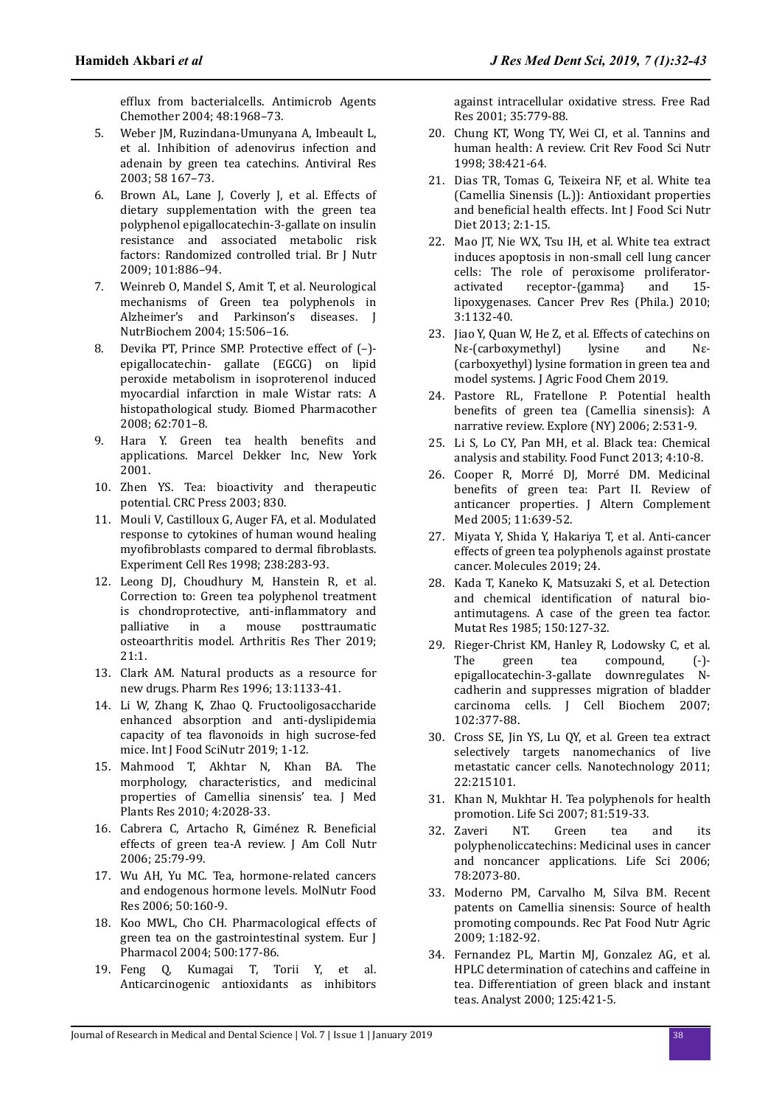efflux from bacterialcells. Antimicrob Agents Chemother 2004; 48:1968–73.

- 5. Weber JM, Ruzindana-Umunyana A, Imbeault L, et al. Inhibition of adenovirus infection and adenain by green tea catechins. Antiviral Res 2003; 58 167–73.
- 6. Brown AL, Lane J, Coverly J, et al. Effects of dietary supplementation with the green tea polyphenol epigallocatechin-3-gallate on insulin resistance and associated metabolic risk factors: Randomized controlled trial. Br J Nutr 2009; 101:886–94.
- 7. Weinreb O, Mandel S, Amit T, et al. Neurological mechanisms of Green tea polyphenols in Alzheimer's and Parkinson's diseases. J NutrBiochem 2004; 15:506–16.
- 8. Devika PT, Prince SMP. Protective effect of (–) epigallocatechin- gallate (EGCG) on lipid peroxide metabolism in isoproterenol induced myocardial infarction in male Wistar rats: A histopathological study. Biomed Pharmacother 2008; 62:701–8.
- 9. Hara Y. Green tea health benefits and applications. Marcel Dekker Inc, New York 2001.
- 10. Zhen YS. Tea: bioactivity and therapeutic potential. CRC Press 2003; 830.
- 11. Mouli V, Castilloux G, Auger FA, et al. Modulated response to cytokines of human wound healing myofibroblasts compared to dermal fibroblasts. Experiment Cell Res 1998; 238:283-93.
- 12. Leong DJ, Choudhury M, Hanstein R, et al. Correction to: Green tea polyphenol treatment is chondroprotective, anti-inflammatory and palliative in a mouse posttraumatic osteoarthritis model. Arthritis Res Ther 2019; 21:1.
- 13. Clark AM. Natural products as a resource for new drugs. Pharm Res 1996; 13:1133-41.
- 14. Li W, Zhang K, Zhao Q. Fructooligosaccharide enhanced absorption and anti-dyslipidemia capacity of tea flavonoids in high sucrose-fed mice. Int J Food SciNutr 2019; 1-12.
- 15. Mahmood T, Akhtar N, Khan BA. The morphology, characteristics, and medicinal properties of Camellia sinensis' tea. J Med Plants Res 2010; 4:2028-33.
- 16. Cabrera C, Artacho R, Giménez R. Beneficial effects of green tea-A review. J Am Coll Nutr 2006; 25:79-99.
- 17. Wu AH, Yu MC. Tea, hormone-related cancers and endogenous hormone levels. MolNutr Food Res 2006; 50:160-9.
- 18. Koo MWL, Cho CH. Pharmacological effects of green tea on the gastrointestinal system. Eur J Pharmacol 2004; 500:177-86.
- 19. Feng Q, Kumagai T, Torii Y, et al. Anticarcinogenic antioxidants as inhibitors

against intracellular oxidative stress. Free Rad Res 2001; 35:779-88.

- 20. Chung KT, Wong TY, Wei CI, et al. Tannins and human health: A review. Crit Rev Food Sci Nutr 1998; 38:421-64.
- 21. Dias TR, Tomas G, Teixeira NF, et al. White tea (Camellia Sinensis (L.)): Antioxidant properties and beneficial health effects. Int J Food Sci Nutr Diet 2013; 2:1-15.
- 22. Mao JT, Nie WX, Tsu IH, et al. White tea extract induces apoptosis in non-small cell lung cancer cells: The role of peroxisome proliferatoractivated receptor-{gamma} and 15 lipoxygenases. Cancer Prev Res (Phila.) 2010; 3:1132-40.
- 23. Jiao Y, Quan W, He Z, et al. Effects of catechins on Nε-(carboxymethyl) lysine and Nε- (carboxyethyl) lysine formation in green tea and model systems. J Agric Food Chem 2019.
- 24. Pastore RL, Fratellone P. Potential health benefits of green tea (Camellia sinensis): A narrative review. Explore (NY) 2006; 2:531-9.
- 25. Li S, Lo CY, Pan MH, et al. Black tea: Chemical analysis and stability. Food Funct 2013; 4:10-8.
- 26. Cooper R, Morré DJ, Morré DM. Medicinal benefits of green tea: Part II. Review of anticancer properties. J Altern Complement Med 2005; 11:639-52.
- 27. Miyata Y, Shida Y, Hakariya T, et al. Anti-cancer effects of green tea polyphenols against prostate cancer. Molecules 2019; 24.
- 28. Kada T, Kaneko K, Matsuzaki S, et al. Detection and chemical identification of natural bioantimutagens. A case of the green tea factor. Mutat Res 1985; 150:127-32.
- 29. Rieger-Christ KM, Hanley R, Lodowsky C, et al. The green tea compound, (-) epigallocatechin-3-gallate downregulates Ncadherin and suppresses migration of bladder carcinoma cells. J Cell Biochem 2007; 102:377-88.
- 30. Cross SE, Jin YS, Lu QY, et al. Green tea extract selectively targets nanomechanics of live metastatic cancer cells. Nanotechnology 2011; 22:215101.
- 31. Khan N, Mukhtar H. Tea polyphenols for health promotion. Life Sci 2007; 81:519-33.
- 32. Zaveri NT. Green tea and its polyphenoliccatechins: Medicinal uses in cancer and noncancer applications. Life Sci 2006; 78:2073-80.
- 33. Moderno PM, Carvalho M, Silva BM. Recent patents on Camellia sinensis: Source of health promoting compounds. Rec Pat Food Nutr Agric 2009; 1:182-92.
- 34. Fernandez PL, Martin MJ, Gonzalez AG, et al. HPLC determination of catechins and caffeine in tea. Differentiation of green black and instant teas. Analyst 2000; 125:421-5.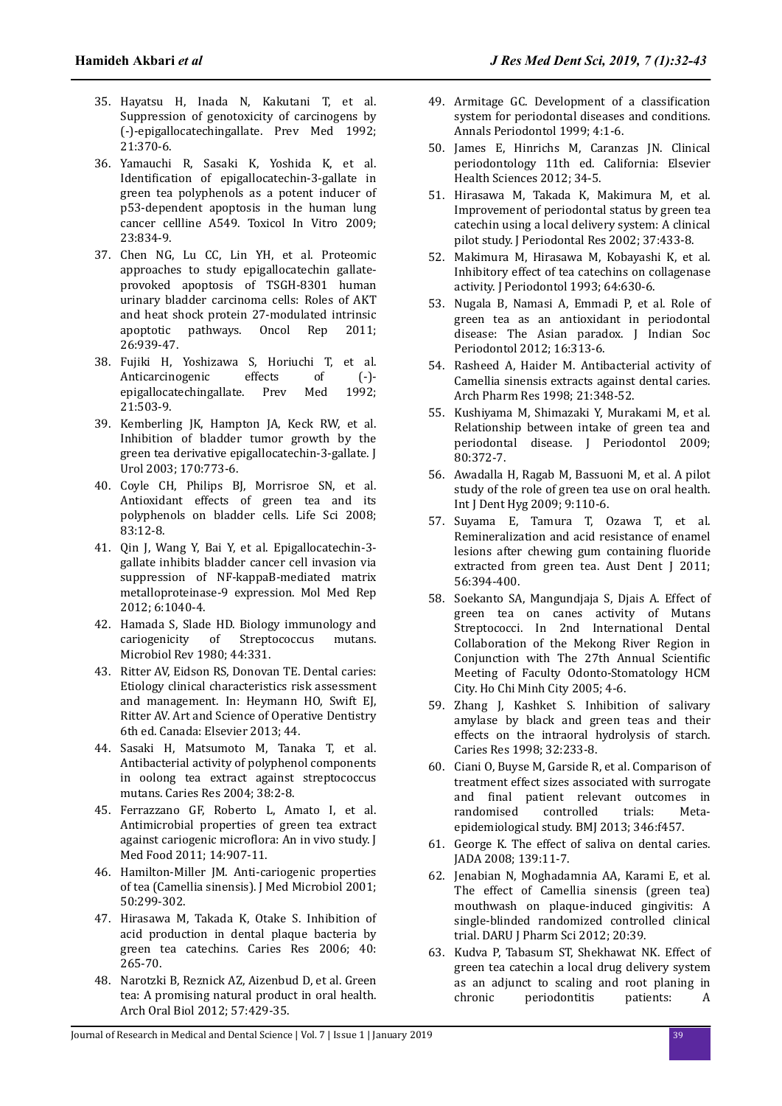- 35. Hayatsu H, Inada N, Kakutani T, et al. Suppression of genotoxicity of carcinogens by (-)-epigallocatechingallate. Prev Med 1992; 21:370-6.
- 36. Yamauchi R, Sasaki K, Yoshida K, et al. Identification of epigallocatechin-3-gallate in green tea polyphenols as a potent inducer of p53-dependent apoptosis in the human lung cancer cellline A549. Toxicol In Vitro 2009; 23:834-9.
- 37. Chen NG, Lu CC, Lin YH, et al. Proteomic approaches to study epigallocatechin gallateprovoked apoptosis of TSGH-8301 human urinary bladder carcinoma cells: Roles of AKT and heat shock protein 27-modulated intrinsic apoptotic pathways. Oncol Rep 2011; 26:939-47.
- 38. Fujiki H, Yoshizawa S, Horiuchi T, et al. Anticarcinogenic effects of (-) epigallocatechingallate. Prev Med 1992; 21:503-9.
- 39. Kemberling JK, Hampton JA, Keck RW, et al. Inhibition of bladder tumor growth by the green tea derivative epigallocatechin-3-gallate. J Urol 2003; 170:773-6.
- 40. Coyle CH, Philips BJ, Morrisroe SN, et al. Antioxidant effects of green tea and its polyphenols on bladder cells. Life Sci 2008; 83:12-8.
- 41. Qin J, Wang Y, Bai Y, et al. Epigallocatechin-3 gallate inhibits bladder cancer cell invasion via suppression of NF-kappaB-mediated matrix metalloproteinase-9 expression. Mol Med Rep 2012; 6:1040-4.
- 42. Hamada S, Slade HD. Biology immunology and cariogenicity of Streptococcus mutans. Microbiol Rev 1980; 44:331.
- 43. Ritter AV, Eidson RS, Donovan TE. Dental caries: Etiology clinical characteristics risk assessment and management. In: Heymann HO, Swift EJ, Ritter AV. Art and Science of Operative Dentistry 6th ed. Canada: Elsevier 2013; 44.
- 44. Sasaki H, Matsumoto M, Tanaka T, et al. Antibacterial activity of polyphenol components in oolong tea extract against streptococcus mutans. Caries Res 2004; 38:2-8.
- 45. Ferrazzano GF, Roberto L, Amato I, et al. Antimicrobial properties of green tea extract against cariogenic microflora: An in vivo study. J Med Food 2011; 14:907-11.
- 46. Hamilton-Miller JM. Anti-cariogenic properties of tea (Camellia sinensis). J Med Microbiol 2001; 50:299-302.
- 47. Hirasawa M, Takada K, Otake S. Inhibition of acid production in dental plaque bacteria by green tea catechins. Caries Res 2006; 40: 265-70.
- 48. Narotzki B, Reznick AZ, Aizenbud D, et al. Green tea: A promising natural product in oral health. Arch Oral Biol 2012; 57:429-35.
- 49. Armitage GC. Development of a classification system for periodontal diseases and conditions. Annals Periodontol 1999; 4:1-6.
- 50. James E, Hinrichs M, Caranzas JN. Clinical periodontology 11th ed. California: Elsevier Health Sciences 2012; 34-5.
- 51. Hirasawa M, Takada K, Makimura M, et al. Improvement of periodontal status by green tea catechin using a local delivery system: A clinical pilot study. J Periodontal Res 2002; 37:433-8.
- 52. Makimura M, Hirasawa M, Kobayashi K, et al. Inhibitory effect of tea catechins on collagenase activity. J Periodontol 1993; 64:630-6.
- 53. Nugala B, Namasi A, Emmadi P, et al. Role of green tea as an antioxidant in periodontal disease: The Asian paradox. J Indian Soc Periodontol 2012; 16:313-6.
- 54. Rasheed A, Haider M. Antibacterial activity of Camellia sinensis extracts against dental caries. Arch Pharm Res 1998; 21:348-52.
- 55. Kushiyama M, Shimazaki Y, Murakami M, et al. Relationship between intake of green tea and periodontal disease. J Periodontol 2009; 80:372-7.
- 56. Awadalla H, Ragab M, Bassuoni M, et al. A pilot study of the role of green tea use on oral health. Int J Dent Hyg 2009; 9:110-6.
- 57. Suyama E, Tamura T, Ozawa T, et al. Remineralization and acid resistance of enamel lesions after chewing gum containing fluoride extracted from green tea. Aust Dent J 2011; 56:394-400.
- 58. Soekanto SA, Mangundjaja S, Djais A. Effect of green tea on canes activity of Mutans Streptococci. In 2nd International Dental Collaboration of the Mekong River Region in Conjunction with The 27th Annual Scientific Meeting of Faculty Odonto-Stomatology HCM City. Ho Chi Minh City 2005; 4-6.
- 59. Zhang J, Kashket S. Inhibition of salivary amylase by black and green teas and their effects on the intraoral hydrolysis of starch. Caries Res 1998; 32:233-8.
- 60. Ciani O, Buyse M, Garside R, et al. Comparison of treatment effect sizes associated with surrogate and final patient relevant outcomes in randomised controlled trials: Metaepidemiological study. BMJ 2013; 346:f457.
- 61. George K. The effect of saliva on dental caries. JADA 2008; 139:11-7.
- 62. Jenabian N, Moghadamnia AA, Karami E, et al. The effect of Camellia sinensis (green tea) mouthwash on plaque-induced gingivitis: A single-blinded randomized controlled clinical trial. DARU J Pharm Sci 2012; 20:39.
- 63. Kudva P, Tabasum ST, Shekhawat NK. Effect of green tea catechin a local drug delivery system as an adjunct to scaling and root planing in chronic periodontitis patients: A

Journal of Research in Medical and Dental Science | Vol. 7 | Issue 1 | January 2019 39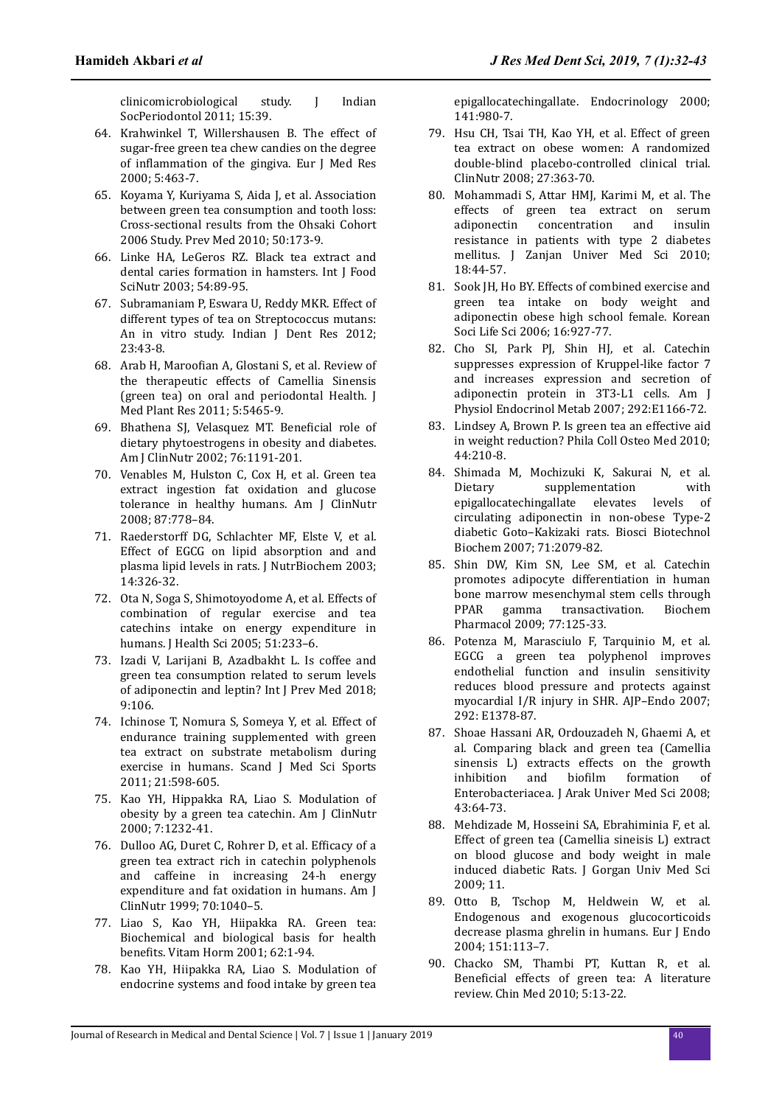clinicomicrobiological study. J Indian SocPeriodontol 2011; 15:39.

- 64. Krahwinkel T, Willershausen B. The effect of sugar-free green tea chew candies on the degree of inflammation of the gingiva. Eur J Med Res 2000; 5:463-7.
- 65. Koyama Y, Kuriyama S, Aida J, et al. Association between green tea consumption and tooth loss: Cross-sectional results from the Ohsaki Cohort 2006 Study. Prev Med 2010; 50:173-9.
- 66. Linke HA, LeGeros RZ. Black tea extract and dental caries formation in hamsters. Int J Food SciNutr 2003; 54:89-95.
- 67. Subramaniam P, Eswara U, Reddy MKR. Effect of different types of tea on Streptococcus mutans: An in vitro study. Indian J Dent Res 2012; 23:43-8.
- 68. Arab H, Maroofian A, Glostani S, et al. Review of the therapeutic effects of Camellia Sinensis (green tea) on oral and periodontal Health. J Med Plant Res 2011; 5:5465-9.
- 69. Bhathena SJ, Velasquez MT. Beneficial role of dietary phytoestrogens in obesity and diabetes. Am J ClinNutr 2002; 76:1191-201.
- 70. Venables M, Hulston C, Cox H, et al. Green tea extract ingestion fat oxidation and glucose tolerance in healthy humans. Am J ClinNutr 2008; 87:778–84.
- 71. Raederstorff DG, Schlachter MF, Elste V, et al. Effect of EGCG on lipid absorption and and plasma lipid levels in rats. J NutrBiochem 2003; 14:326-32.
- 72. Ota N, Soga S, Shimotoyodome A, et al. Effects of combination of regular exercise and tea catechins intake on energy expenditure in humans. J Health Sci 2005; 51:233–6.
- 73. Izadi V, Larijani B, Azadbakht L. Is coffee and green tea consumption related to serum levels of adiponectin and leptin? Int J Prev Med 2018; 9:106.
- 74. Ichinose T, Nomura S, Someya Y, et al. Effect of endurance training supplemented with green tea extract on substrate metabolism during exercise in humans. Scand J Med Sci Sports 2011; 21:598-605.
- 75. Kao YH, Hippakka RA, Liao S. Modulation of obesity by a green tea catechin. Am J ClinNutr 2000; 7:1232-41.
- 76. Dulloo AG, Duret C, Rohrer D, et al. Efficacy of a green tea extract rich in catechin polyphenols and caffeine in increasing 24-h energy expenditure and fat oxidation in humans. Am J ClinNutr 1999; 70:1040–5.
- 77. Liao S, Kao YH, Hiipakka RA. Green tea: Biochemical and biological basis for health benefits. Vitam Horm 2001; 62:1-94.
- 78. Kao YH, Hiipakka RA, Liao S. Modulation of endocrine systems and food intake by green tea

epigallocatechingallate. Endocrinology 2000; 141:980-7.

- 79. Hsu CH, Tsai TH, Kao YH, et al. Effect of green tea extract on obese women: A randomized double-blind placebo-controlled clinical trial. ClinNutr 2008; 27:363-70.
- 80. Mohammadi S, Attar HMJ, Karimi M, et al. The effects of green tea extract on serum adiponectin concentration and insulin resistance in patients with type 2 diabetes mellitus. J Zanjan Univer Med Sci 2010; 18:44-57.
- 81. Sook JH, Ho BY. Effects of combined exercise and green tea intake on body weight and adiponectin obese high school female. Korean Soci Life Sci 2006; 16:927-77.
- 82. Cho SI, Park PJ, Shin HJ, et al. Catechin suppresses expression of Kruppel-like factor 7 and increases expression and secretion of adiponectin protein in 3T3-L1 cells. Am J Physiol Endocrinol Metab 2007; 292:E1166-72.
- 83. Lindsey A, Brown P. Is green tea an effective aid in weight reduction? Phila Coll Osteo Med 2010; 44:210-8.
- 84. Shimada M, Mochizuki K, Sakurai N, et al. Dietary supplementation with epigallocatechingallate elevates levels of circulating adiponectin in non-obese Type-2 diabetic Goto–Kakizaki rats. Biosci Biotechnol Biochem 2007; 71:2079-82.
- 85. Shin DW, Kim SN, Lee SM, et al. Catechin promotes adipocyte differentiation in human bone marrow mesenchymal stem cells through<br>PPAR gamma transactivation. Biochem PPAR gamma transactivation. Biochem Pharmacol 2009; 77:125-33.
- 86. Potenza M, Marasciulo F, Tarquinio M, et al. EGCG a green tea polyphenol improves endothelial function and insulin sensitivity reduces blood pressure and protects against myocardial I/R injury in SHR. AJP–Endo 2007; 292: E1378-87.
- 87. Shoae Hassani AR, Ordouzadeh N, Ghaemi A, et al. Comparing black and green tea (Camellia sinensis L) extracts effects on the growth inhibition and biofilm formation of Enterobacteriacea. J Arak Univer Med Sci 2008; 43:64-73.
- 88. Mehdizade M, Hosseini SA, Ebrahiminia F, et al. Effect of green tea (Camellia sineisis L) extract on blood glucose and body weight in male induced diabetic Rats. J Gorgan Univ Med Sci 2009; 11.
- 89. Otto B, Tschop M, Heldwein W, et al. Endogenous and exogenous glucocorticoids decrease plasma ghrelin in humans. Eur J Endo 2004; 151:113–7.
- 90. Chacko SM, Thambi PT, Kuttan R, et al. Beneficial effects of green tea: A literature review. Chin Med 2010; 5:13-22.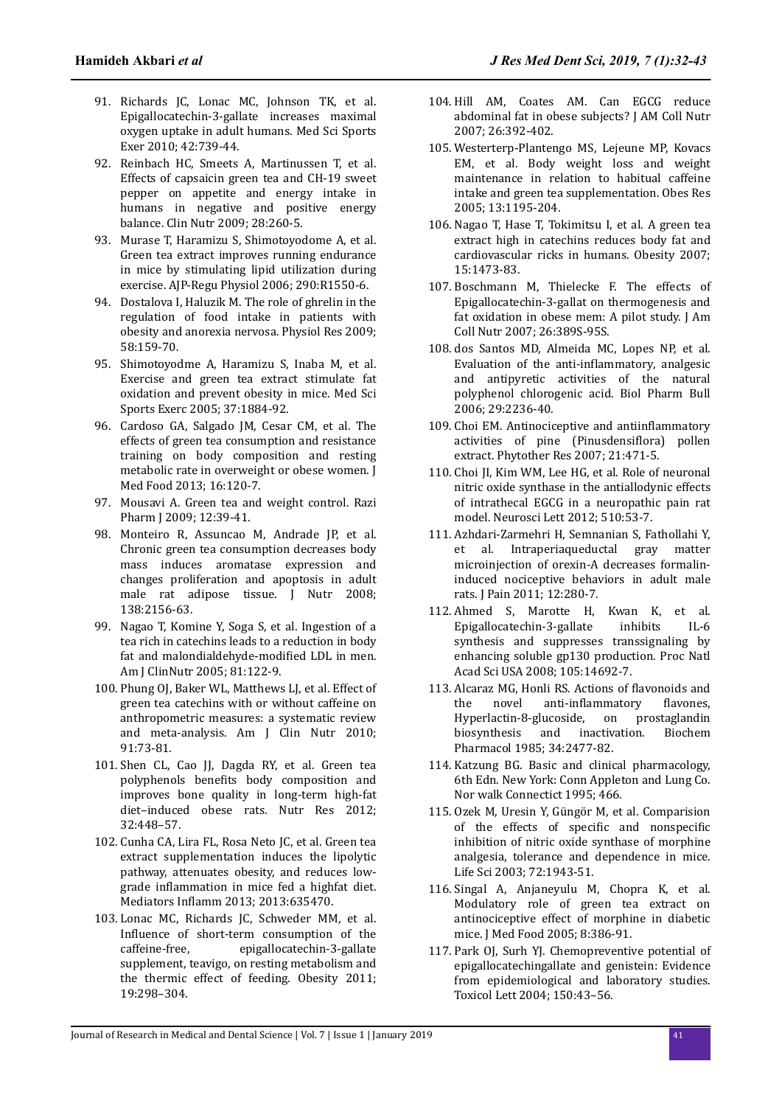- 91. Richards JC, Lonac MC, Johnson TK, et al. Epigallocatechin-3-gallate increases maximal oxygen uptake in adult humans. Med Sci Sports Exer 2010; 42:739-44.
- 92. Reinbach HC, Smeets A, Martinussen T, et al. Effects of capsaicin green tea and CH-19 sweet pepper on appetite and energy intake in humans in negative and positive energy balance. Clin Nutr 2009; 28:260-5.
- 93. Murase T, Haramizu S, Shimotoyodome A, et al. Green tea extract improves running endurance in mice by stimulating lipid utilization during exercise. AJP-Regu Physiol 2006; 290:R1550-6.
- 94. Dostalova I, Haluzik M. The role of ghrelin in the regulation of food intake in patients with obesity and anorexia nervosa. Physiol Res 2009; 58:159-70.
- 95. Shimotoyodme A, Haramizu S, Inaba M, et al. Exercise and green tea extract stimulate fat oxidation and prevent obesity in mice. Med Sci Sports Exerc 2005; 37:1884-92.
- 96. Cardoso GA, Salgado JM, Cesar CM, et al. The effects of green tea consumption and resistance training on body composition and resting metabolic rate in overweight or obese women. J Med Food 2013; 16:120-7.
- 97. Mousavi A. Green tea and weight control. Razi Pharm J 2009; 12:39-41.
- 98. Monteiro R, Assuncao M, Andrade JP, et al. Chronic green tea consumption decreases body mass induces aromatase expression and changes proliferation and apoptosis in adult male rat adipose tissue. J Nutr 2008; 138:2156-63.
- 99. Nagao T, Komine Y, Soga S, et al. Ingestion of a tea rich in catechins leads to a reduction in body fat and malondialdehyde-modified LDL in men. Am J ClinNutr 2005; 81:122-9.
- 100. Phung OJ, Baker WL, Matthews LJ, et al. Effect of green tea catechins with or without caffeine on anthropometric measures: a systematic review and meta-analysis. Am J Clin Nutr 2010; 91:73-81.
- 101. Shen CL, Cao JJ, Dagda RY, et al. Green tea polyphenols benefits body composition and improves bone quality in long-term high-fat diet–induced obese rats. Nutr Res 2012; 32:448–57.
- 102. Cunha CA, Lira FL, Rosa Neto JC, et al. Green tea extract supplementation induces the lipolytic pathway, attenuates obesity, and reduces lowgrade inflammation in mice fed a highfat diet. Mediators Inflamm 2013; 2013:635470.
- 103. Lonac MC, Richards JC, Schweder MM, et al. Influence of short-term consumption of the caffeine-free, epigallocatechin-3-gallate supplement, teavigo, on resting metabolism and the thermic effect of feeding. Obesity 2011; 19:298–304.
- 104. Hill AM, Coates AM. Can EGCG reduce abdominal fat in obese subjects? J AM Coll Nutr 2007; 26:392-402.
- 105. Westerterp-Plantengo MS, Lejeune MP, Kovacs EM, et al. Body weight loss and weight maintenance in relation to habitual caffeine intake and green tea supplementation. Obes Res 2005; 13:1195-204.
- 106. Nagao T, Hase T, Tokimitsu I, et al. A green tea extract high in catechins reduces body fat and cardiovascular ricks in humans. Obesity 2007; 15:1473-83.
- 107. Boschmann M, Thielecke F. The effects of Epigallocatechin-3-gallat on thermogenesis and fat oxidation in obese mem: A pilot study. J Am Coll Nutr 2007; 26:389S-95S.
- 108. dos Santos MD, Almeida MC, Lopes NP, et al. Evaluation of the anti-inflammatory, analgesic and antipyretic activities of the natural polyphenol chlorogenic acid. Biol Pharm Bull 2006; 29:2236-40.
- 109. Choi EM. Antinociceptive and antiinflammatory activities of pine (Pinusdensiflora) pollen extract. Phytother Res 2007; 21:471-5.
- 110. Choi JI, Kim WM, Lee HG, et al. Role of neuronal nitric oxide synthase in the antiallodynic effects of intrathecal EGCG in a neuropathic pain rat model. Neurosci Lett 2012; 510:53-7.
- 111. Azhdari-Zarmehri H, Semnanian S, Fathollahi Y, et al. Intraperiaqueductal gray matter microinjection of orexin-A decreases formalininduced nociceptive behaviors in adult male rats. J Pain 2011; 12:280-7.
- 112. Ahmed S, Marotte H, Kwan K, et al. Epigallocatechin-3-gallate inhibits IL-6 synthesis and suppresses transsignaling by enhancing soluble gp130 production. Proc Natl Acad Sci USA 2008; 105:14692-7.
- 113. Alcaraz MG, Honli RS. Actions of flavonoids and the novel anti-inflammatory flavones, Hyperlactin-8-glucoside, on prostaglandin biosynthesis and inactivation. Biochem Pharmacol 1985; 34:2477-82.
- 114. Katzung BG. Basic and clinical pharmacology, 6th Edn. New York: Conn Appleton and Lung Co. Nor walk Connectict 1995; 466.
- 115. Ozek M, Uresin Y, Güngör M, et al. Comparision of the effects of specific and nonspecific inhibition of nitric oxide synthase of morphine analgesia, tolerance and dependence in mice. Life Sci 2003; 72:1943-51.
- 116. Singal A, Anjaneyulu M, Chopra K, et al. Modulatory role of green tea extract on antinociceptive effect of morphine in diabetic mice. J Med Food 2005; 8:386-91.
- 117. Park OJ, Surh YJ. Chemopreventive potential of epigallocatechingallate and genistein: Evidence from epidemiological and laboratory studies. Toxicol Lett 2004; 150:43–56.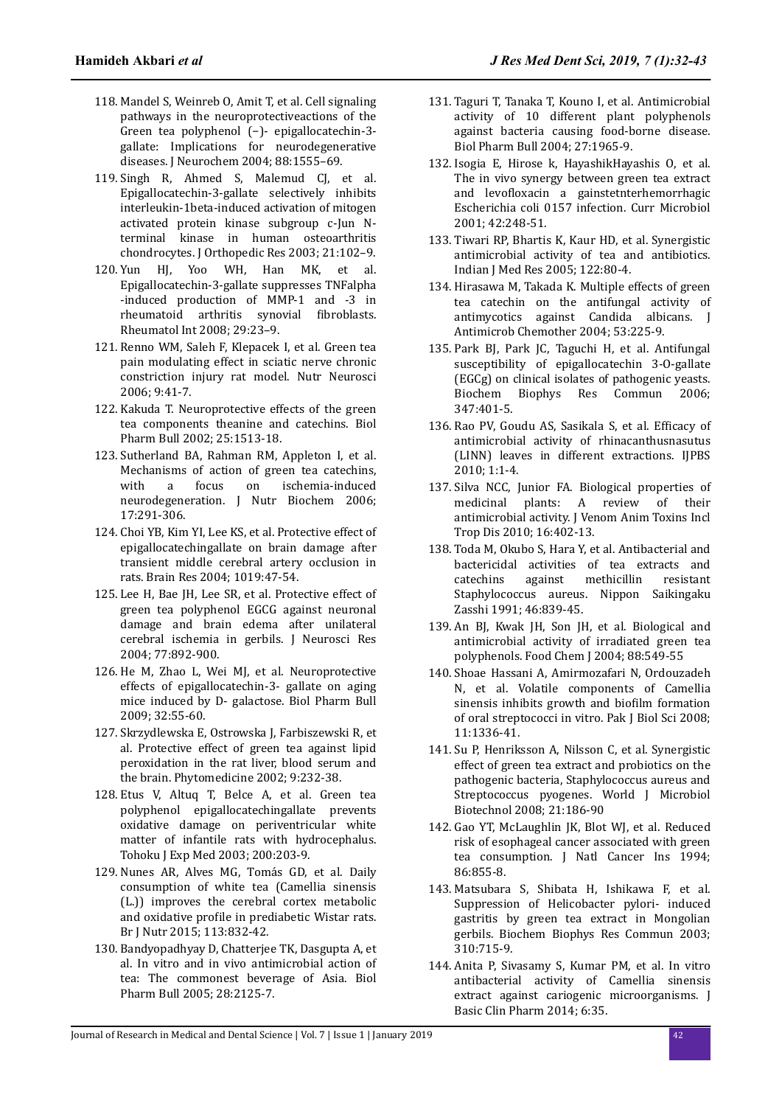- 118. Mandel S, Weinreb O, Amit T, et al. Cell signaling pathways in the neuroprotectiveactions of the Green tea polyphenol (−)- epigallocatechin-3 gallate: Implications for neurodegenerative diseases. J Neurochem 2004; 88:1555–69.
- 119. Singh R, Ahmed S, Malemud CJ, et al. Epigallocatechin-3-gallate selectively inhibits interleukin-1beta-induced activation of mitogen activated protein kinase subgroup c-Jun Nterminal kinase in human osteoarthritis chondrocytes. J Orthopedic Res 2003; 21:102–9.
- 120. Yun HJ, Yoo WH, Han MK, et al. Epigallocatechin-3-gallate suppresses TNFalpha -induced production of MMP-1 and -3 in rheumatoid arthritis synovial fibroblasts. Rheumatol Int 2008; 29:23–9.
- 121. Renno WM, Saleh F, Klepacek I, et al. Green tea pain modulating effect in sciatic nerve chronic constriction injury rat model. Nutr Neurosci 2006; 9:41-7.
- 122. Kakuda T. Neuroprotective effects of the green tea components theanine and catechins. Biol Pharm Bull 2002; 25:1513-18.
- 123. Sutherland BA, Rahman RM, Appleton I, et al. Mechanisms of action of green tea catechins, with a focus on ischemia-induced neurodegeneration. J Nutr Biochem 2006; 17:291-306.
- 124. Choi YB, Kim YI, Lee KS, et al. Protective effect of epigallocatechingallate on brain damage after transient middle cerebral artery occlusion in rats. Brain Res 2004; 1019:47-54.
- 125. Lee H, Bae JH, Lee SR, et al. Protective effect of green tea polyphenol EGCG against neuronal damage and brain edema after unilateral cerebral ischemia in gerbils. J Neurosci Res 2004; 77:892-900.
- 126. He M, Zhao L, Wei MJ, et al. Neuroprotective effects of epigallocatechin-3- gallate on aging mice induced by D- galactose. Biol Pharm Bull 2009; 32:55-60.
- 127. Skrzydlewska E, Ostrowska J, Farbiszewski R, et al. Protective effect of green tea against lipid peroxidation in the rat liver, blood serum and the brain. Phytomedicine 2002; 9:232-38.
- 128. Etus V, Altuq T, Belce A, et al. Green tea polyphenol epigallocatechingallate prevents oxidative damage on periventricular white matter of infantile rats with hydrocephalus. Tohoku J Exp Med 2003; 200:203-9.
- 129. Nunes AR, Alves MG, Tomás GD, et al. Daily consumption of white tea (Camellia sinensis (L.)) improves the cerebral cortex metabolic and oxidative profile in prediabetic Wistar rats. Br J Nutr 2015; 113:832-42.
- 130. Bandyopadhyay D, Chatterjee TK, Dasgupta A, et al. In vitro and in vivo antimicrobial action of tea: The commonest beverage of Asia. Biol Pharm Bull 2005; 28:2125-7.
- 131. Taguri T, Tanaka T, Kouno I, et al. Antimicrobial activity of 10 different plant polyphenols against bacteria causing food-borne disease. Biol Pharm Bull 2004; 27:1965-9.
- 132. Isogia E, Hirose k, HayashikHayashis O, et al. The in vivo synergy between green tea extract and levofloxacin a gainstetnterhemorrhagic Escherichia coli 0157 infection. Curr Microbiol 2001; 42:248-51.
- 133. Tiwari RP, Bhartis K, Kaur HD, et al. Synergistic antimicrobial activity of tea and antibiotics. Indian J Med Res 2005; 122:80-4.
- 134. Hirasawa M, Takada K. Multiple effects of green tea catechin on the antifungal activity of antimycotics against Candida albicans. J Antimicrob Chemother 2004; 53:225-9.
- 135. Park BJ, Park JC, Taguchi H, et al. Antifungal susceptibility of epigallocatechin 3-O-gallate (EGCg) on clinical isolates of pathogenic yeasts. Biochem Biophys Res Commun 2006; 347:401-5.
- 136. Rao PV, Goudu AS, Sasikala S, et al. Efficacy of antimicrobial activity of rhinacanthusnasutus (LINN) leaves in different extractions. IJPBS 2010; 1:1-4.
- 137. Silva NCC, Junior FA. Biological properties of medicinal plants: A review of their antimicrobial activity. J Venom Anim Toxins Incl Trop Dis 2010; 16:402-13.
- 138. Toda M, Okubo S, Hara Y, et al. Antibacterial and bactericidal activities of tea extracts and catechins against methicillin resistant Staphylococcus aureus. Nippon Saikingaku Zasshi 1991; 46:839-45.
- 139. An BJ, Kwak JH, Son JH, et al. Biological and antimicrobial activity of irradiated green tea polyphenols. Food Chem J 2004; 88:549-55
- 140. Shoae Hassani A, Amirmozafari N, Ordouzadeh N, et al. Volatile components of Camellia sinensis inhibits growth and biofilm formation of oral streptococci in vitro. Pak J Biol Sci 2008; 11:1336-41.
- 141. Su P, Henriksson A, Nilsson C, et al. Synergistic effect of green tea extract and probiotics on the pathogenic bacteria, Staphylococcus aureus and Streptococcus pyogenes. World J Microbiol Biotechnol 2008; 21:186-90
- 142. Gao YT, McLaughlin JK, Blot WJ, et al. Reduced risk of esophageal cancer associated with green tea consumption. J Natl Cancer Ins 1994; 86:855-8.
- 143. Matsubara S, Shibata H, Ishikawa F, et al. Suppression of Helicobacter pylori- induced gastritis by green tea extract in Mongolian gerbils. Biochem Biophys Res Commun 2003; 310:715-9.
- 144. Anita P, Sivasamy S, Kumar PM, et al. In vitro antibacterial activity of Camellia sinensis extract against cariogenic microorganisms. J Basic Clin Pharm 2014; 6:35.